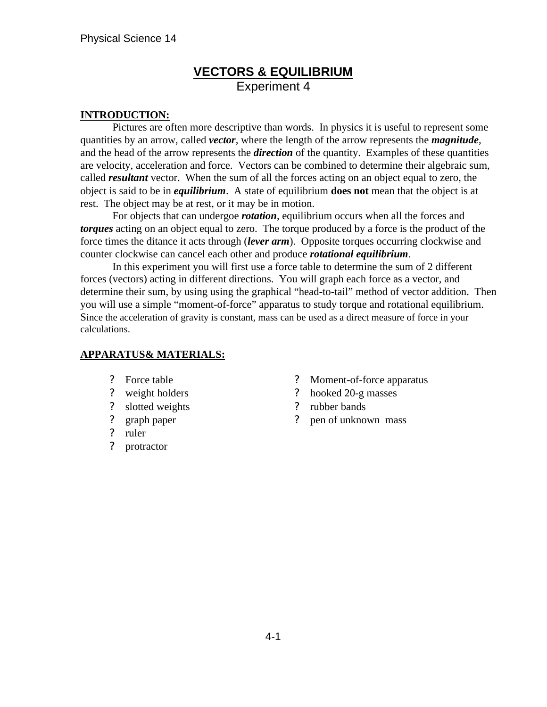# **VECTORS & EQUILIBRIUM** Experiment 4

#### **INTRODUCTION:**

 Pictures are often more descriptive than words. In physics it is useful to represent some quantities by an arrow, called *vector*, where the length of the arrow represents the *magnitude*, and the head of the arrow represents the *direction* of the quantity. Examples of these quantities are velocity, acceleration and force. Vectors can be combined to determine their algebraic sum, called *resultant* vector. When the sum of all the forces acting on an object equal to zero, the object is said to be in *equilibrium*. A state of equilibrium **does not** mean that the object is at rest. The object may be at rest, or it may be in motion.

For objects that can undergoe *rotation*, equilibrium occurs when all the forces and *torques* acting on an object equal to zero. The torque produced by a force is the product of the force times the ditance it acts through (*lever arm*). Opposite torques occurring clockwise and counter clockwise can cancel each other and produce *rotational equilibrium*.

 In this experiment you will first use a force table to determine the sum of 2 different forces (vectors) acting in different directions. You will graph each force as a vector, and determine their sum, by using using the graphical "head-to-tail" method of vector addition. Then you will use a simple "moment-of-force" apparatus to study torque and rotational equilibrium. Since the acceleration of gravity is constant, mass can be used as a direct measure of force in your calculations.

#### **APPARATUS& MATERIALS:**

- ? Force table
- ? weight holders
- ? slotted weights
- ? graph paper
- ? ruler
- ? protractor
- ? Moment-of-force apparatus
- ? hooked 20-g masses
- ? rubber bands
- ? pen of unknown mass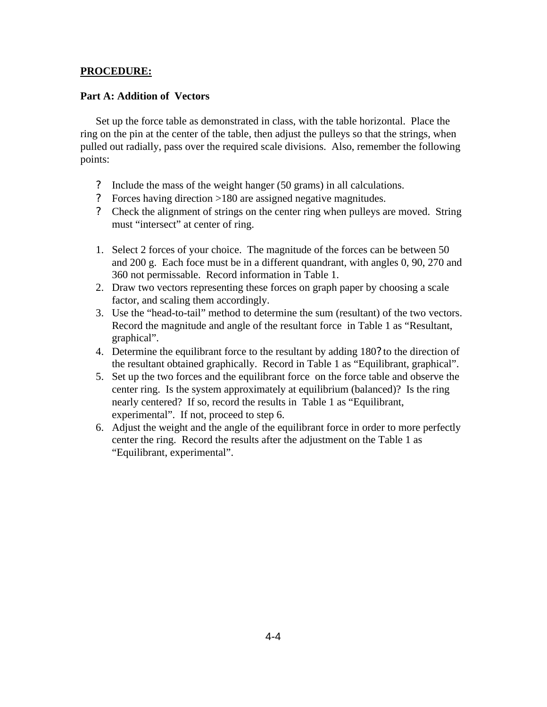#### **PROCEDURE:**

#### **Part A: Addition of Vectors**

Set up the force table as demonstrated in class, with the table horizontal. Place the ring on the pin at the center of the table, then adjust the pulleys so that the strings, when pulled out radially, pass over the required scale divisions. Also, remember the following points:

- ? Include the mass of the weight hanger (50 grams) in all calculations.
- ? Forces having direction >180 are assigned negative magnitudes.
- ? Check the alignment of strings on the center ring when pulleys are moved. String must "intersect" at center of ring.
- 1. Select 2 forces of your choice. The magnitude of the forces can be between 50 and 200 g. Each foce must be in a different quandrant, with angles 0, 90, 270 and 360 not permissable. Record information in Table 1.
- 2. Draw two vectors representing these forces on graph paper by choosing a scale factor, and scaling them accordingly.
- 3. Use the "head-to-tail" method to determine the sum (resultant) of the two vectors. Record the magnitude and angle of the resultant force in Table 1 as "Resultant, graphical".
- 4. Determine the equilibrant force to the resultant by adding 180? to the direction of the resultant obtained graphically. Record in Table 1 as "Equilibrant, graphical".
- 5. Set up the two forces and the equilibrant force on the force table and observe the center ring. Is the system approximately at equilibrium (balanced)? Is the ring nearly centered? If so, record the results in Table 1 as "Equilibrant, experimental". If not, proceed to step 6.
- 6. Adjust the weight and the angle of the equilibrant force in order to more perfectly center the ring. Record the results after the adjustment on the Table 1 as "Equilibrant, experimental".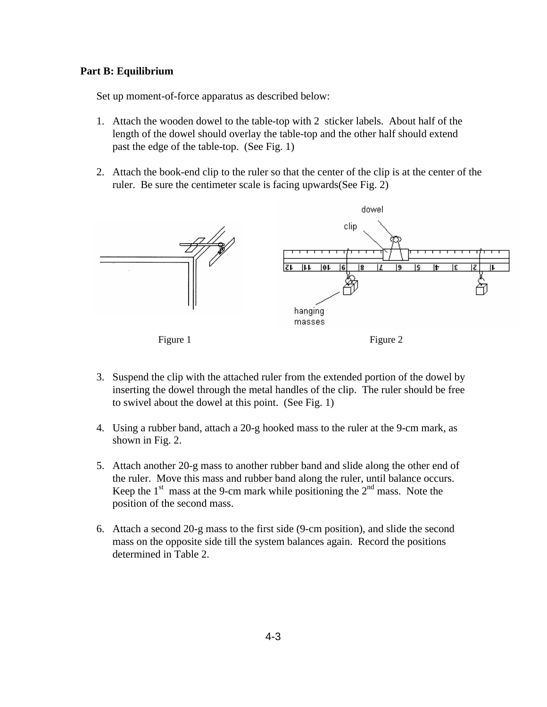#### **Part B: Equilibrium**

Set up moment-of-force apparatus as described below:

- 1. Attach the wooden dowel to the table-top with 2 sticker labels. About half of the length of the dowel should overlay the table-top and the other half should extend past the edge of the table-top. (See Fig. 1)
- 2. Attach the book-end clip to the ruler so that the center of the clip is at the center of the ruler. Be sure the centimeter scale is facing upwards(See Fig. 2)



- 3. Suspend the clip with the attached ruler from the extended portion of the dowel by inserting the dowel through the metal handles of the clip. The ruler should be free to swivel about the dowel at this point. (See Fig. 1)
- 4. Using a rubber band, attach a 20-g hooked mass to the ruler at the 9-cm mark, as shown in Fig. 2.
- 5. Attach another 20-g mass to another rubber band and slide along the other end of the ruler. Move this mass and rubber band along the ruler, until balance occurs. Keep the  $1<sup>st</sup>$  mass at the 9-cm mark while positioning the  $2<sup>nd</sup>$  mass. Note the position of the second mass.
- 6. Attach a second 20-g mass to the first side (9-cm position), and slide the second mass on the opposite side till the system balances again. Record the positions determined in Table 2.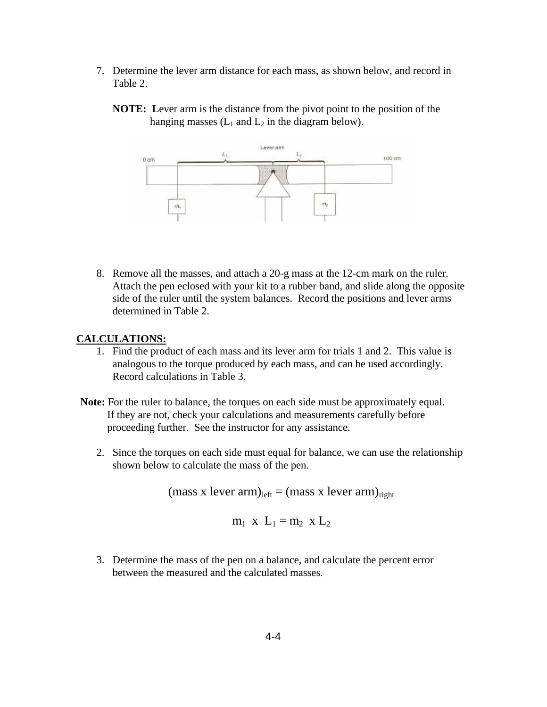- 7. Determine the lever arm distance for each mass, as shown below, and record in Table 2.
	- **NOTE: L**ever arm is the distance from the pivot point to the position of the hanging masses  $(L_1 \text{ and } L_2 \text{ in the diagram below}).$



8. Remove all the masses, and attach a 20-g mass at the 12-cm mark on the ruler. Attach the pen eclosed with your kit to a rubber band, and slide along the opposite side of the ruler until the system balances. Record the positions and lever arms determined in Table 2.

#### **CALCULATIONS:**

- 1. Find the product of each mass and its lever arm for trials 1 and 2. This value is analogous to the torque produced by each mass, and can be used accordingly. Record calculations in Table 3.
- **Note:** For the ruler to balance, the torques on each side must be approximately equal. If they are not, check your calculations and measurements carefully before proceeding further. See the instructor for any assistance.
	- 2. Since the torques on each side must equal for balance, we can use the relationship shown below to calculate the mass of the pen.

 $(mass x lever arm)_{left} = (mass x lever arm)_{right}$ 

$$
m_1 \times L_1 = m_2 \times L_2
$$

3. Determine the mass of the pen on a balance, and calculate the percent error between the measured and the calculated masses.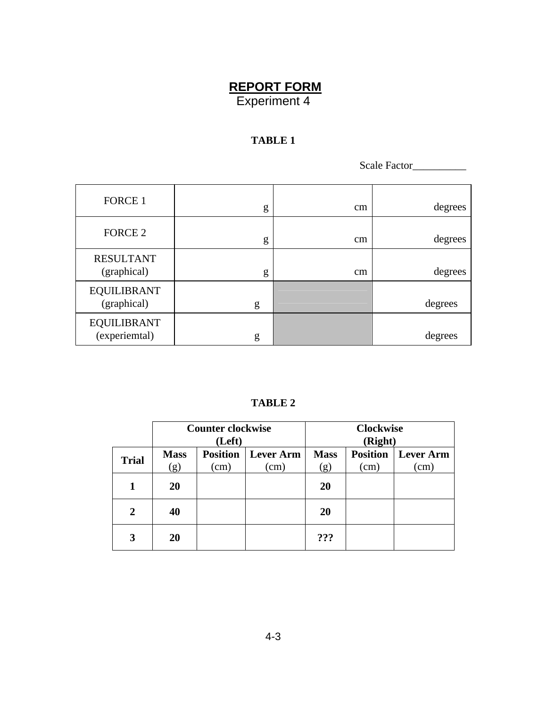## **REPORT FORM** Experiment 4

## **TABLE 1**

Scale Factor\_\_\_\_\_\_\_\_\_\_

| FORCE 1                             | g | cm | degrees |
|-------------------------------------|---|----|---------|
| FORCE 2                             | g | cm | degrees |
| <b>RESULTANT</b><br>(graphical)     | g | cm | degrees |
| <b>EQUILIBRANT</b><br>(graphical)   | g |    | degrees |
| <b>EQUILIBRANT</b><br>(experiemtal) | g |    | degrees |

### **TABLE 2**

|              | <b>Counter clockwise</b><br>(Left) |                         |                          | <b>Clockwise</b><br>(Right) |                         |                                |
|--------------|------------------------------------|-------------------------|--------------------------|-----------------------------|-------------------------|--------------------------------|
| <b>Trial</b> | <b>Mass</b><br>(g)                 | <b>Position</b><br>(cm) | <b>Lever Arm</b><br>(cm) | <b>Mass</b><br>(g)          | <b>Position</b><br>(cm) | <b>Lever Arm</b><br>$\rm (cm)$ |
|              | 20                                 |                         |                          | 20                          |                         |                                |
| 2            | 40                                 |                         |                          | 20                          |                         |                                |
| 3            | 20                                 |                         |                          | ???                         |                         |                                |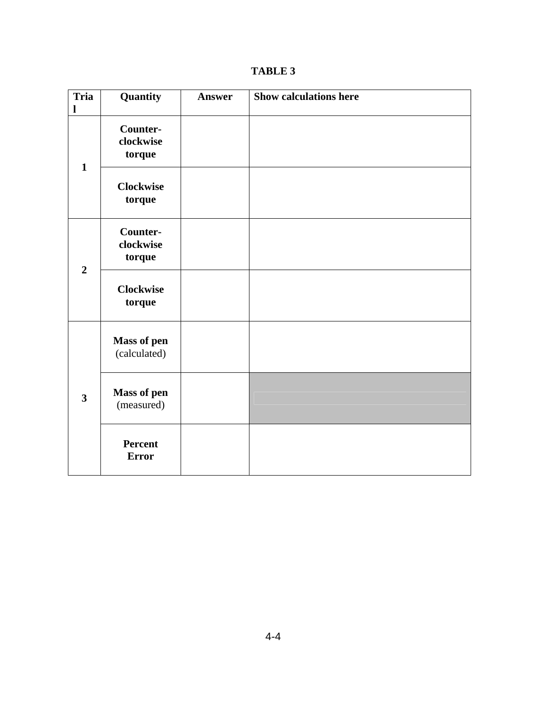| <b>Tria</b><br>l        | Quantity                           | <b>Answer</b> | <b>Show calculations here</b> |
|-------------------------|------------------------------------|---------------|-------------------------------|
| $\mathbf{1}$            | Counter-<br>clockwise<br>torque    |               |                               |
|                         | <b>Clockwise</b><br>torque         |               |                               |
| $\overline{2}$          | Counter-<br>clockwise<br>torque    |               |                               |
|                         | <b>Clockwise</b><br>torque         |               |                               |
| $\overline{\mathbf{3}}$ | <b>Mass of pen</b><br>(calculated) |               |                               |
|                         | <b>Mass of pen</b><br>(measured)   |               |                               |
|                         | Percent<br><b>Error</b>            |               |                               |